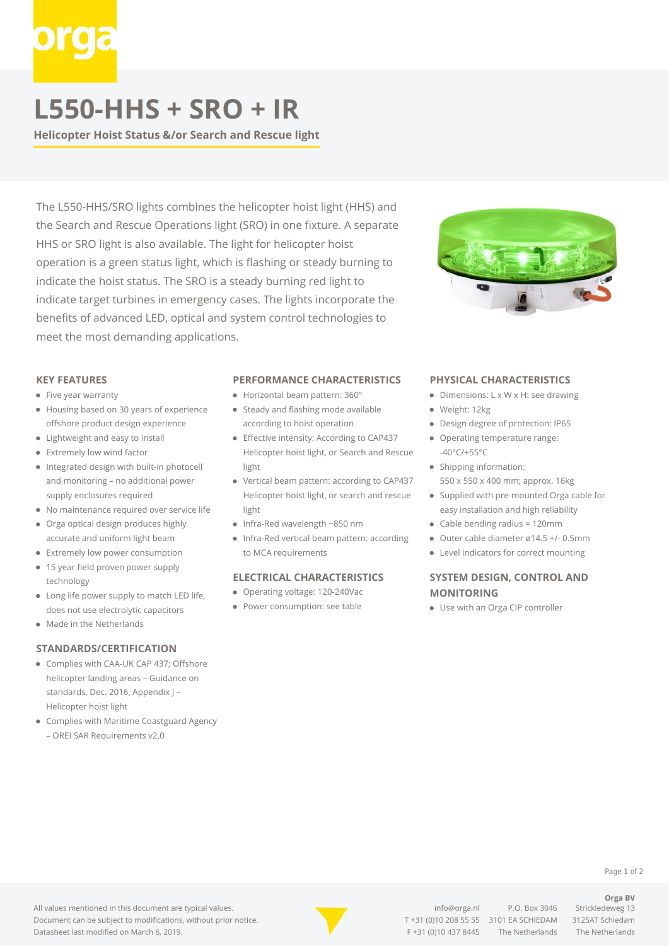## **L550-HHS + SRO + IR**

**Helicopter Hoist Status &/or Search and Rescue light**

The L550-HHS/SRO lights combines the helicopter hoist light (HHS) and the Search and Rescue Operations light (SRO) in one fixture. A separate HHS or SRO light is also available. The light for helicopter hoist operation is a green status light, which is flashing or steady burning to indicate the hoist status. The SRO is a steady burning red light to indicate target turbines in emergency cases. The lights incorporate the benefits of advanced LED, optical and system control technologies to meet the most demanding applications.



#### **KEY FEATURES**

- Five year warranty
- Housing based on 30 years of experience offshore product design experience
- Lightweight and easy to install
- Extremely low wind factor
- Integrated design with built-in photocell and monitoring – no additional power supply enclosures required
- No maintenance required over service life
- Orga optical design produces highly accurate and uniform light beam
- **•** Extremely low power consumption
- 15 year field proven power supply  $\bullet$ technology
- Long life power supply to match LED life, does not use electrolytic capacitors
- Made in the Netherlands

#### **STANDARDS/CERTIFICATION**

- Complies with CAA-UK CAP 437; Offshore helicopter landing areas – Guidance on standards, Dec. 2016, Appendix J – Helicopter hoist light
- Complies with Maritime Coastguard Agency
	- OREI SAR Requirements v2.0

#### **PERFORMANCE CHARACTERISTICS**

- Horizontal beam pattern: 360°
- Steady and flashing mode available according to hoist operation
- Effective intensity: According to CAP437 Helicopter hoist light, or Search and Rescue light
- Vertical beam pattern: according to CAP437 Helicopter hoist light, or search and rescue light
- Infra-Red wavelength ~850 nm
- Infra-Red vertical beam pattern: according to MCA requirements

#### **ELECTRICAL CHARACTERISTICS**

- Operating voltage: 120-240Vac
- Power consumption: see table

#### **PHYSICAL CHARACTERISTICS**

- Dimensions: L x W x H: see drawing
- Weight: 12kg
- Design degree of protection: IP65
- Operating temperature range: -40°C/+55°C
- Shipping information: 550 x 550 x 400 mm; approx. 16kg
- Supplied with pre-mounted Orga cable for easy installation and high reliability
- Cable bending radius = 120mm
- Outer cable diameter ø14.5 +/- 0.5mm
- Level indicators for correct mounting

### **SYSTEM DESIGN, CONTROL AND MONITORING**

Use with an Orga CIP controller

#### All values mentioned in this document are typical values. Document can be subject to modifications, without prior notice. Datasheet last modified on March 6, 2019.



[info@orga.nl](mailto:info@orga.nl) P.O. Box 3046 Strickledeweg 13 T [+31 \(0\)10 208 55 55](#page--1-0) 3101 EA SCHIEDAM 3125AT Schiedam F +31 (0)10 437 8445 The Netherlands The Netherlands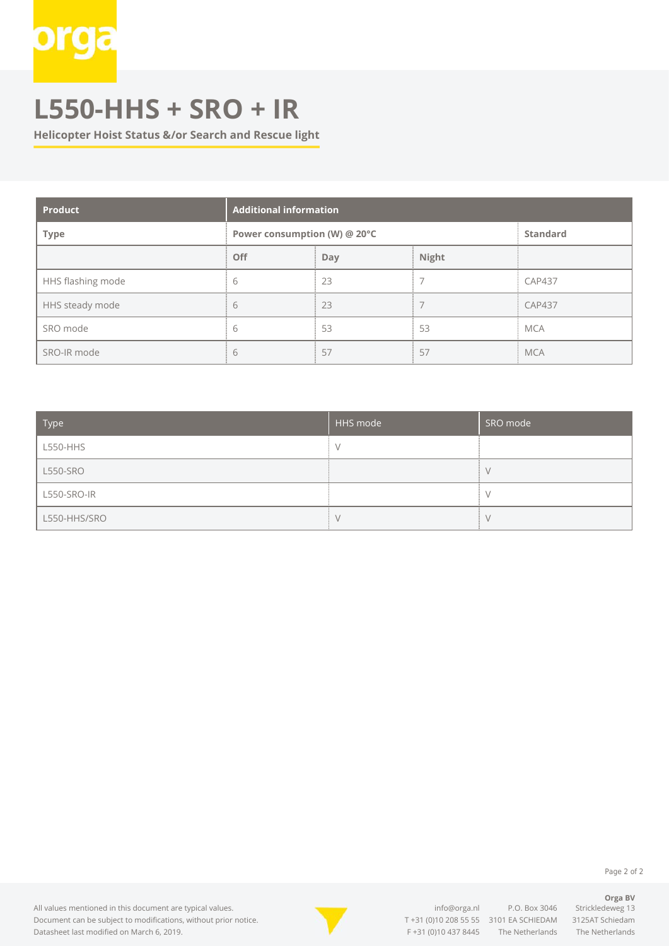# **L550-HHS + SRO + IR**

**Helicopter Hoist Status &/or Search and Rescue light**

| <b>Product</b>    | <b>Additional information</b> |     |       |                 |
|-------------------|-------------------------------|-----|-------|-----------------|
| <b>Type</b>       | Power consumption (W) @ 20°C  |     |       | <b>Standard</b> |
|                   | <b>Off</b>                    | Day | Night |                 |
| HHS flashing mode | 6                             | 23  |       | <b>CAP437</b>   |
| HHS steady mode   | 6                             | 23  |       | <b>CAP437</b>   |
| SRO mode          | 6                             | 53  | 53    | <b>MCA</b>      |
| SRO-IR mode       | b                             | 57  | 57    | <b>MCA</b>      |

| Type            | HHS mode | SRO mode |
|-----------------|----------|----------|
| L550-HHS        |          |          |
| <b>L550-SRO</b> |          |          |
| L550-SRO-IR     |          |          |
| L550-HHS/SRO    |          |          |

Page 2 of 2

**Orga BV**

All values mentioned in this document are typical values. Document can be subject to modifications, without prior notice. Datasheet last modified on March 6, 2019.



[info@orga.nl](mailto:info@orga.nl) P.O. Box 3046 Strickledeweg 13 T [+31 \(0\)10 208 55 55](#page--1-0) 3101 EA SCHIEDAM 3125AT Schiedam F +31 (0)10 437 8445 The Netherlands The Netherlands